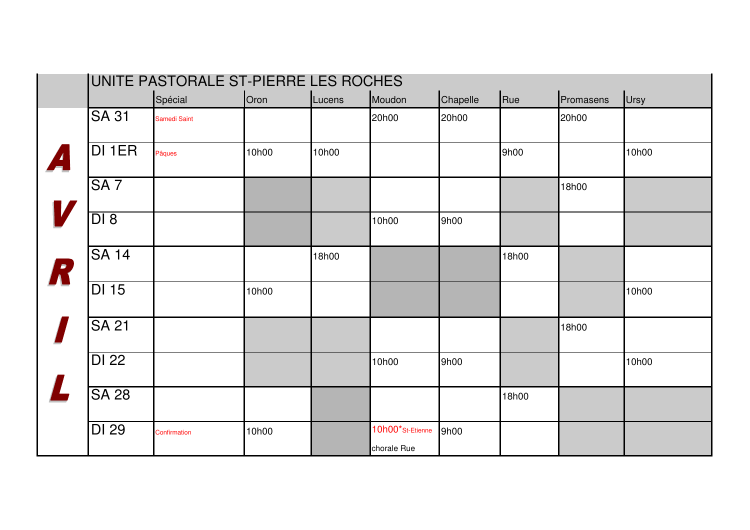|                  | UNITE PASTORALE ST-PIERRE LES ROCHES |                     |       |        |                  |          |       |           |       |
|------------------|--------------------------------------|---------------------|-------|--------|------------------|----------|-------|-----------|-------|
|                  |                                      | Spécial             | Oron  | Lucens | Moudon           | Chapelle | Rue   | Promasens | Ursy  |
|                  | <b>SA 31</b>                         | <b>Samedi Saint</b> |       |        | 20h00            | 20h00    |       | 20h00     |       |
| $\boldsymbol{A}$ | DI 1ER                               | Pâques              | 10h00 | 10h00  |                  |          | 9h00  |           | 10h00 |
|                  | SA <sub>7</sub>                      |                     |       |        |                  |          |       | 18h00     |       |
|                  | DI 8                                 |                     |       |        | 10h00            | 9h00     |       |           |       |
| R                | <b>SA 14</b>                         |                     |       | 18h00  |                  |          | 18h00 |           |       |
|                  | <b>DI 15</b>                         |                     | 10h00 |        |                  |          |       |           | 10h00 |
|                  | <b>SA 21</b>                         |                     |       |        |                  |          |       | 18h00     |       |
|                  | <b>DI 22</b>                         |                     |       |        | 10h00            | 9h00     |       |           | 10h00 |
|                  | <b>SA 28</b>                         |                     |       |        |                  |          | 18h00 |           |       |
|                  | <b>DI 29</b>                         | Confirmation        | 10h00 |        | 10h00*St-Etienne | 9h00     |       |           |       |
|                  |                                      |                     |       |        | chorale Rue      |          |       |           |       |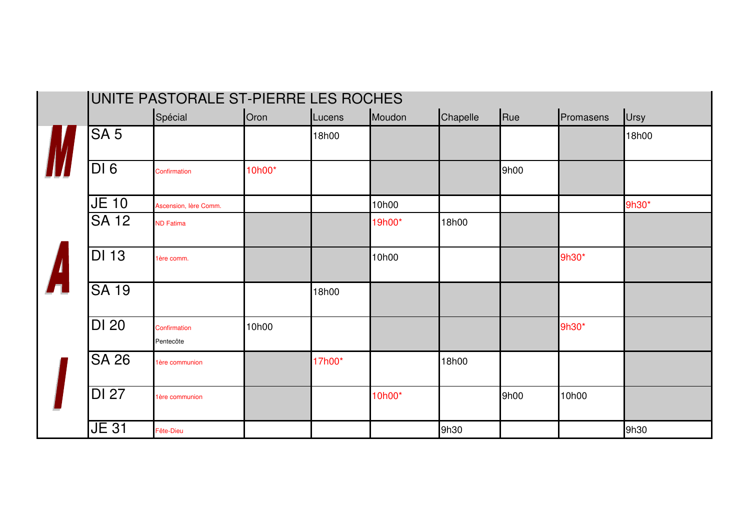| UNITE PASTORALE ST-PIERRE LES ROCHES |                           |        |        |        |          |      |           |             |
|--------------------------------------|---------------------------|--------|--------|--------|----------|------|-----------|-------------|
|                                      | Spécial                   | Oron   | Lucens | Moudon | Chapelle | Rue  | Promasens | <b>Ursy</b> |
| SA <sub>5</sub>                      |                           |        | 18h00  |        |          |      |           | 18h00       |
| DI6                                  | Confirmation              | 10h00* |        |        |          | 9h00 |           |             |
| $JE$ 10                              | Ascension, lère Comm.     |        |        | 10h00  |          |      |           | 9h30*       |
| <b>SA 12</b>                         | <b>ND Fatima</b>          |        |        | 19h00* | 18h00    |      |           |             |
| <b>DI 13</b>                         | 1ère comm.                |        |        | 10h00  |          |      | 9h30*     |             |
| <b>SA 19</b>                         |                           |        | 18h00  |        |          |      |           |             |
| <b>DI 20</b>                         | Confirmation<br>Pentecôte | 10h00  |        |        |          |      | 9h30*     |             |
| $S\overline{A}$ 26                   | 1ère communion            |        | 17h00* |        | 18h00    |      |           |             |
| <b>DI 27</b>                         | 1ère communion            |        |        | 10h00* |          | 9h00 | 10h00     |             |
| <b>JE 31</b>                         | Fête-Dieu                 |        |        |        | 9h30     |      |           | 9h30        |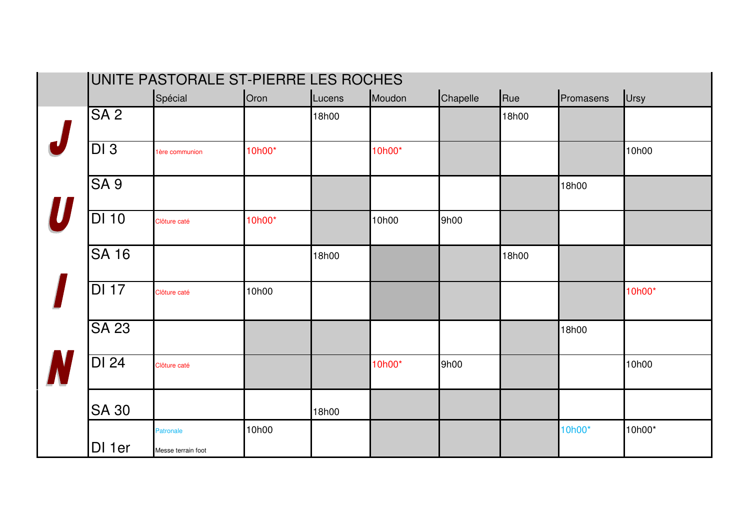| UNITE PASTORALE ST-PIERRE LES ROCHES |                    |        |        |        |          |       |           |        |
|--------------------------------------|--------------------|--------|--------|--------|----------|-------|-----------|--------|
|                                      | Spécial            | Oron   | Lucens | Moudon | Chapelle | Rue   | Promasens | Ursy   |
| SA <sub>2</sub>                      |                    |        | 18h00  |        |          | 18h00 |           |        |
| $\overline{DI3}$                     | 1ère communion     | 10h00* |        | 10h00* |          |       |           | 10h00  |
| SA <sub>9</sub>                      |                    |        |        |        |          |       | 18h00     |        |
| <b>DI 10</b>                         | Clôture caté       | 10h00* |        | 10h00  | 9h00     |       |           |        |
| <b>SA 16</b>                         |                    |        | 18h00  |        |          | 18h00 |           |        |
| <b>DI 17</b>                         | Clôture caté       | 10h00  |        |        |          |       |           | 10h00* |
| <b>SA 23</b>                         |                    |        |        |        |          |       | 18h00     |        |
| DI 24                                | Clôture caté       |        |        | 10h00* | 9h00     |       |           | 10h00  |
| <b>SA 30</b>                         |                    |        | 18h00  |        |          |       |           |        |
| DI 1er                               | <b>Patronale</b>   | 10h00  |        |        |          |       | 10h00*    | 10h00* |
|                                      | Messe terrain foot |        |        |        |          |       |           |        |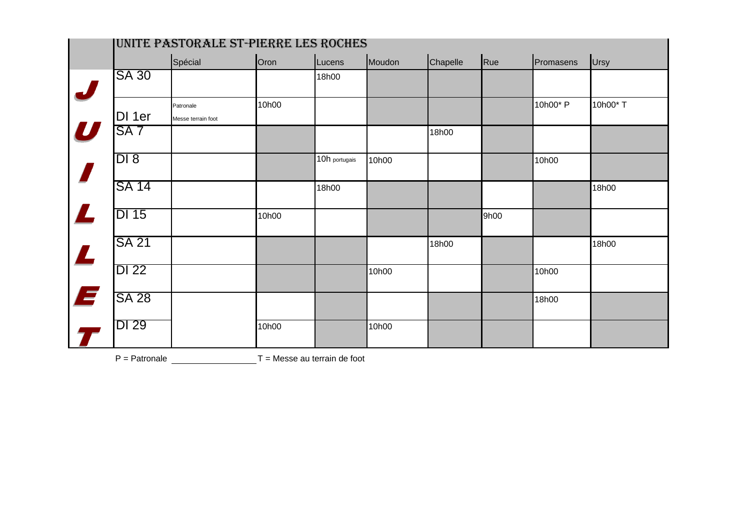|                  | UNITE PASTORALE ST-PIERRE LES ROCHES |                                 |       |               |        |          |      |           |          |  |
|------------------|--------------------------------------|---------------------------------|-------|---------------|--------|----------|------|-----------|----------|--|
|                  |                                      | Spécial                         | Oron  | Lucens        | Moudon | Chapelle | Rue  | Promasens | Ursy     |  |
| $\boldsymbol{J}$ | <b>SA 30</b>                         |                                 |       | 18h00         |        |          |      |           |          |  |
|                  | DI 1er                               | Patronale<br>Messe terrain foot | 10h00 |               |        |          |      | 10h00* P  | 10h00* T |  |
| $\boldsymbol{U}$ | SA <sub>7</sub>                      |                                 |       |               |        | 18h00    |      |           |          |  |
|                  | DI 8                                 |                                 |       | 10h portugais | 10h00  |          |      | 10h00     |          |  |
|                  | <b>SA 14</b>                         |                                 |       | 18h00         |        |          |      |           | 18h00    |  |
|                  | <b>DI 15</b>                         |                                 | 10h00 |               |        |          | 9h00 |           |          |  |
| $\mathbf{Z}$     | <b>SA 21</b>                         |                                 |       |               |        | 18h00    |      |           | 18h00    |  |
|                  | <b>DI 22</b>                         |                                 |       |               | 10h00  |          |      | 10h00     |          |  |
| E                | <b>SA 28</b>                         |                                 |       |               |        |          |      | 18h00     |          |  |
|                  | <b>DI 29</b>                         |                                 | 10h00 |               | 10h00  |          |      |           |          |  |

 $P =$  Patronale  $T =$  Messe au terrain de foot